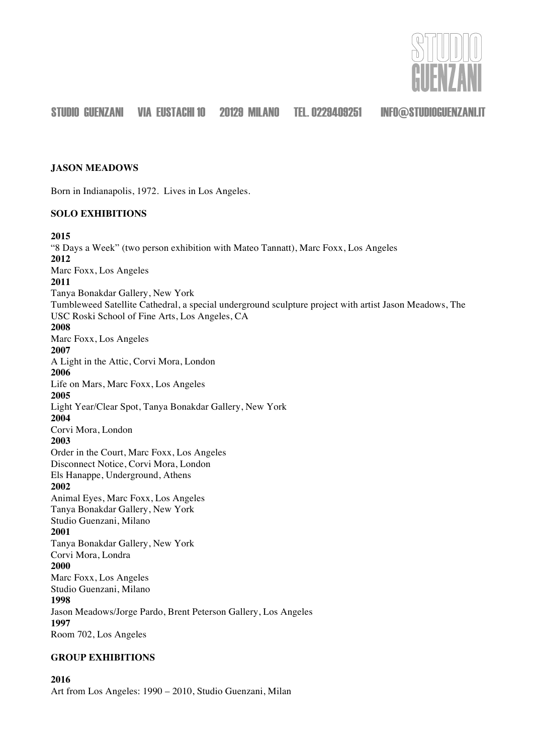

## **JASON MEADOWS**

Born in Indianapolis, 1972. Lives in Los Angeles.

## **SOLO EXHIBITIONS**

#### **2015**

"8 Days a Week" (two person exhibition with Mateo Tannatt), Marc Foxx, Los Angeles **2012** Marc Foxx, Los Angeles **2011** Tanya Bonakdar Gallery, New York Tumbleweed Satellite Cathedral, a special underground sculpture project with artist Jason Meadows, The USC Roski School of Fine Arts, Los Angeles, CA **2008** Marc Foxx, Los Angeles **2007** A Light in the Attic, Corvi Mora, London **2006** Life on Mars, Marc Foxx, Los Angeles **2005** Light Year/Clear Spot, Tanya Bonakdar Gallery, New York **2004** Corvi Mora, London **2003** Order in the Court, Marc Foxx, Los Angeles Disconnect Notice, Corvi Mora, London Els Hanappe, Underground, Athens **2002** Animal Eyes, Marc Foxx, Los Angeles Tanya Bonakdar Gallery, New York Studio Guenzani, Milano **2001** Tanya Bonakdar Gallery, New York Corvi Mora, Londra **2000** Marc Foxx, Los Angeles Studio Guenzani, Milano **1998** Jason Meadows/Jorge Pardo, Brent Peterson Gallery, Los Angeles **1997** Room 702, Los Angeles

## **GROUP EXHIBITIONS**

**2016** Art from Los Angeles: 1990 – 2010, Studio Guenzani, Milan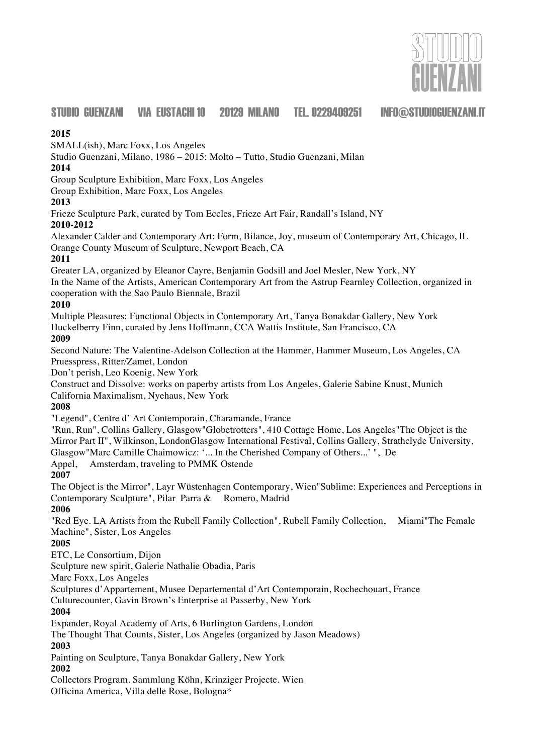

## **2015**

SMALL(ish), Marc Foxx, Los Angeles

Studio Guenzani, Milano, 1986 – 2015: Molto – Tutto, Studio Guenzani, Milan

# **2014**

Group Sculpture Exhibition, Marc Foxx, Los Angeles

Group Exhibition, Marc Foxx, Los Angeles

## **2013**

Frieze Sculpture Park, curated by Tom Eccles, Frieze Art Fair, Randall's Island, NY

# **2010-2012**

Alexander Calder and Contemporary Art: Form, Bilance, Joy, museum of Contemporary Art, Chicago, IL Orange County Museum of Sculpture, Newport Beach, CA

# **2011**

Greater LA, organized by Eleanor Cayre, Benjamin Godsill and Joel Mesler, New York, NY In the Name of the Artists, American Contemporary Art from the Astrup Fearnley Collection, organized in cooperation with the Sao Paulo Biennale, Brazil

# **2010**

Multiple Pleasures: Functional Objects in Contemporary Art, Tanya Bonakdar Gallery, New York Huckelberry Finn, curated by Jens Hoffmann, CCA Wattis Institute, San Francisco, CA

# **2009**

Second Nature: The Valentine-Adelson Collection at the Hammer, Hammer Museum, Los Angeles, CA Pruesspress, Ritter/Zamet, London

Don't perish, Leo Koenig, New York

Construct and Dissolve: works on paperby artists from Los Angeles, Galerie Sabine Knust, Munich California Maximalism, Nyehaus, New York

# **2008**

"Legend", Centre d' Art Contemporain, Charamande, France

"Run, Run", Collins Gallery, Glasgow"Globetrotters", 410 Cottage Home, Los Angeles"The Object is the Mirror Part II", Wilkinson, LondonGlasgow International Festival, Collins Gallery, Strathclyde University, Glasgow"Marc Camille Chaimowicz: '... In the Cherished Company of Others...' ", De

Appel, Amsterdam, traveling to PMMK Ostende

# **2007**

The Object is the Mirror", Layr Wüstenhagen Contemporary, Wien"Sublime: Experiences and Perceptions in Contemporary Sculpture", Pilar Parra & Romero, Madrid

# **2006**

"Red Eye. LA Artists from the Rubell Family Collection", Rubell Family Collection, Miami"The Female Machine", Sister, Los Angeles

# **2005**

ETC, Le Consortium, Dijon

Sculpture new spirit, Galerie Nathalie Obadia, Paris

Marc Foxx, Los Angeles

Sculptures d'Appartement, Musee Departemental d'Art Contemporain, Rochechouart, France

Culturecounter, Gavin Brown's Enterprise at Passerby, New York

# **2004**

Expander, Royal Academy of Arts, 6 Burlington Gardens, London

The Thought That Counts, Sister, Los Angeles (organized by Jason Meadows)

# **2003**

Painting on Sculpture, Tanya Bonakdar Gallery, New York

# **2002**

Collectors Program. Sammlung Köhn, Krinziger Projecte. Wien Officina America, Villa delle Rose, Bologna\*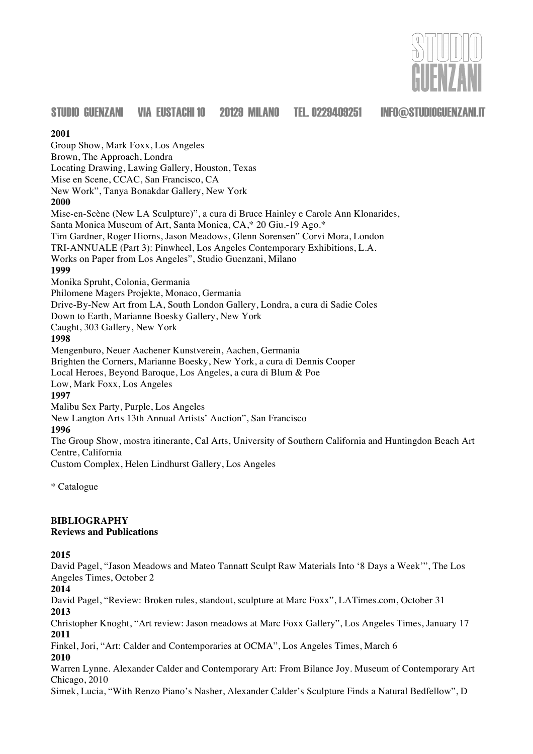

#### **2001**

Group Show, Mark Foxx, Los Angeles Brown, The Approach, Londra Locating Drawing, Lawing Gallery, Houston, Texas Mise en Scene, CCAC, San Francisco, CA New Work", Tanya Bonakdar Gallery, New York **2000** Mise-en-Scène (New LA Sculpture)", a cura di Bruce Hainley e Carole Ann Klonarides, Santa Monica Museum of Art, Santa Monica, CA,\* 20 Giu.-19 Ago.\* Tim Gardner, Roger Hiorns, Jason Meadows, Glenn Sorensen" Corvi Mora, London TRI-ANNUALE (Part 3): Pinwheel, Los Angeles Contemporary Exhibitions, L.A. Works on Paper from Los Angeles", Studio Guenzani, Milano **1999** Monika Spruht, Colonia, Germania Philomene Magers Projekte, Monaco, Germania Drive-By-New Art from LA, South London Gallery, Londra, a cura di Sadie Coles Down to Earth, Marianne Boesky Gallery, New York Caught, 303 Gallery, New York **1998** Mengenburo, Neuer Aachener Kunstverein, Aachen, Germania Brighten the Corners, Marianne Boesky, New York, a cura di Dennis Cooper Local Heroes, Beyond Baroque, Los Angeles, a cura di Blum & Poe Low, Mark Foxx, Los Angeles **1997** Malibu Sex Party, Purple, Los Angeles New Langton Arts 13th Annual Artists' Auction", San Francisco **1996** The Group Show, mostra itinerante, Cal Arts, University of Southern California and Huntingdon Beach Art Centre, California Custom Complex, Helen Lindhurst Gallery, Los Angeles

\* Catalogue

## **BIBLIOGRAPHY**

#### **Reviews and Publications**

#### **2015**

David Pagel, "Jason Meadows and Mateo Tannatt Sculpt Raw Materials Into '8 Days a Week'", The Los Angeles Times, October 2

**2014**

David Pagel, "Review: Broken rules, standout, sculpture at Marc Foxx", LATimes.com, October 31 **2013**

Christopher Knoght, "Art review: Jason meadows at Marc Foxx Gallery", Los Angeles Times, January 17 **2011**

Finkel, Jori, "Art: Calder and Contemporaries at OCMA", Los Angeles Times, March 6 **2010**

Warren Lynne. Alexander Calder and Contemporary Art: From Bilance Joy. Museum of Contemporary Art Chicago, 2010

Simek, Lucia, "With Renzo Piano's Nasher, Alexander Calder's Sculpture Finds a Natural Bedfellow", D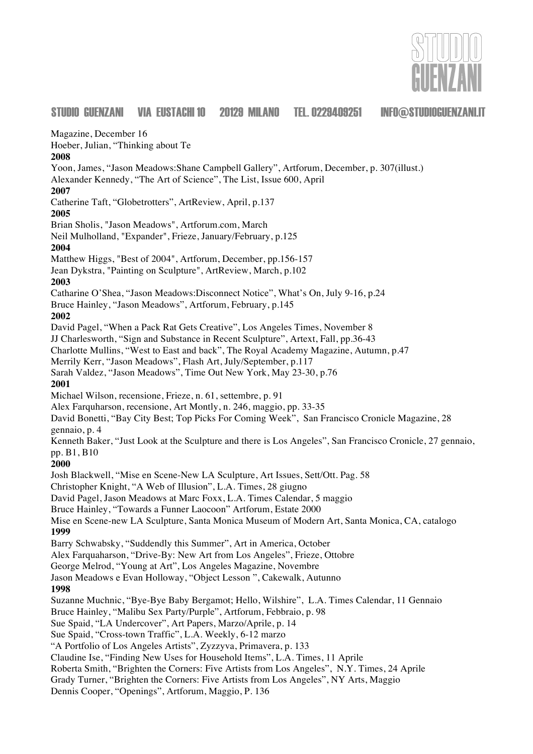

Magazine, December 16

Hoeber, Julian, "Thinking about Te

**2008**

Yoon, James, "Jason Meadows:Shane Campbell Gallery", Artforum, December, p. 307(illust.)

Alexander Kennedy, "The Art of Science", The List, Issue 600, April

# **2007**

Catherine Taft, "Globetrotters", ArtReview, April, p.137

**2005**

Brian Sholis, "Jason Meadows", Artforum.com, March

Neil Mulholland, "Expander", Frieze, January/February, p.125 **2004**

Matthew Higgs, "Best of 2004", Artforum, December, pp.156-157

Jean Dykstra, "Painting on Sculpture", ArtReview, March, p.102

## **2003**

Catharine O'Shea, "Jason Meadows:Disconnect Notice", What's On, July 9-16, p.24

Bruce Hainley, "Jason Meadows", Artforum, February, p.145

## **2002**

David Pagel, "When a Pack Rat Gets Creative", Los Angeles Times, November 8

JJ Charlesworth, "Sign and Substance in Recent Sculpture", Artext, Fall, pp.36-43

Charlotte Mullins, "West to East and back", The Royal Academy Magazine, Autumn, p.47

Merrily Kerr, "Jason Meadows", Flash Art, July/September, p.117

Sarah Valdez, "Jason Meadows", Time Out New York, May 23-30, p.76

## **2001**

Michael Wilson, recensione, Frieze, n. 61, settembre, p. 91

Alex Farquharson, recensione, Art Montly, n. 246, maggio, pp. 33-35

David Bonetti, "Bay City Best; Top Picks For Coming Week", San Francisco Cronicle Magazine, 28 gennaio, p. 4

Kenneth Baker, "Just Look at the Sculpture and there is Los Angeles", San Francisco Cronicle, 27 gennaio, pp. B1, B10

## **2000**

Josh Blackwell, "Mise en Scene-New LA Sculpture, Art Issues, Sett/Ott. Pag. 58 Christopher Knight, "A Web of Illusion", L.A. Times, 28 giugno David Pagel, Jason Meadows at Marc Foxx, L.A. Times Calendar, 5 maggio Bruce Hainley, "Towards a Funner Laocoon" Artforum, Estate 2000 Mise en Scene-new LA Sculpture, Santa Monica Museum of Modern Art, Santa Monica, CA, catalogo **1999** Barry Schwabsky, "Suddendly this Summer", Art in America, October Alex Farquaharson, "Drive-By: New Art from Los Angeles", Frieze, Ottobre George Melrod, "Young at Art", Los Angeles Magazine, Novembre Jason Meadows e Evan Holloway, "Object Lesson ", Cakewalk, Autunno **1998** Suzanne Muchnic, "Bye-Bye Baby Bergamot; Hello, Wilshire", L.A. Times Calendar, 11 Gennaio Bruce Hainley, "Malibu Sex Party/Purple", Artforum, Febbraio, p. 98 Sue Spaid, "LA Undercover", Art Papers, Marzo/Aprile, p. 14

Sue Spaid, "Cross-town Traffic", L.A. Weekly, 6-12 marzo

"A Portfolio of Los Angeles Artists", Zyzzyva, Primavera, p. 133

Claudine Ise, "Finding New Uses for Household Items", L.A. Times, 11 Aprile

Roberta Smith, "Brighten the Corners: Five Artists from Los Angeles", N.Y. Times, 24 Aprile

Grady Turner, "Brighten the Corners: Five Artists from Los Angeles", NY Arts, Maggio

Dennis Cooper, "Openings", Artforum, Maggio, P. 136